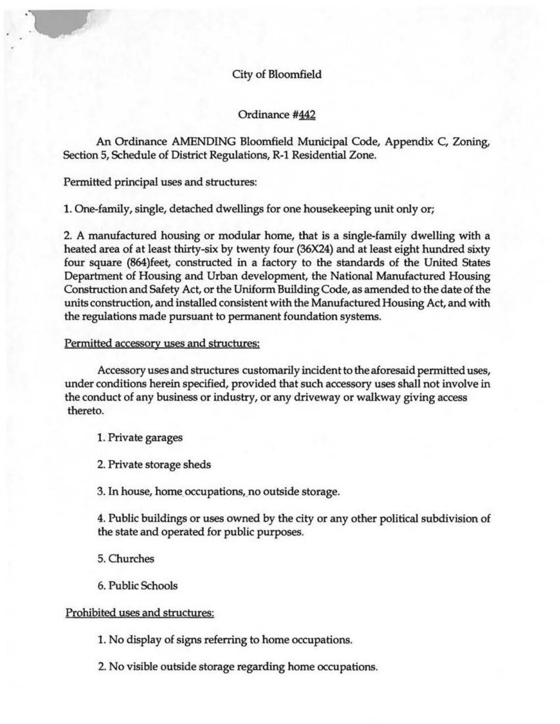# City of Bloomfield

Ordinance #442

An Ordinance AMENDING Bloomfield Municipal Code, Appendix C, Zoning, Section 5, Schedule of District Regulations, R-1 Residential Zone.

Permitted principal uses and structures:

1. One-family, single, detached dwellings for one housekeeping unit only or;

2. A manufactured housing or modular home, that is a single-family dwelling with a heated area of at least thirty-six by twenty four (36X24) and at least eight hundred sixty four square (864)feet, constructed in a factory to the standards of the United States Department of Housing and Urban development, the National Manufactured Housing Construction and Safety Act, or the Uniform Building Code, as amended to the date of the units construction, and installed consistent with the Manufactured Housing Act, and with the regulations made pursuant to permanent foundation systems.

#### Permitted accessory uses and structures:

Accessory uses and structures customarily incident to the aforesaid permitted uses, under conditions herein specified, provided that such accessory uses shall not involve in the conduct of any business or industry, or any driveway or walkway giving access thereto.

1. Private garages

2. Private storage sheds

3. In house, home occupations, no outside storage.

4. Public buildings or uses owned by the city or any other political subdivision of the state and operated for public purposes.

5. Churches

6. Public Schools

### Prohibited uses and structures:

1. No display of signs referring to home occupations.

2. No visible outside storage regarding home occupations.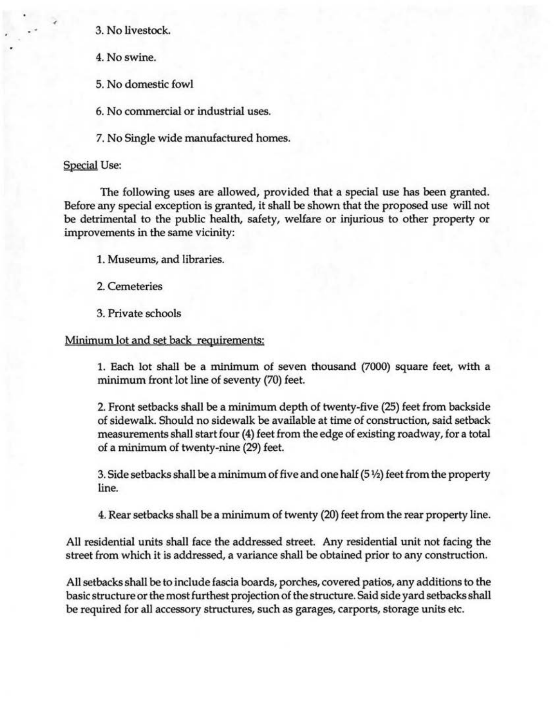3. No livestock.

4. No swine.

5. No domestic fowl

6. No commercial or industrial uses.

7. No Single wide manufactured homes.

### Special Use:

The following uses are allowed, provided that a special use has been granted. Before any special exception is granted, it shall be shown that the proposed use will not be detrimental to the public health, safety, welfare or injurious to other property or improvements in the same vicinity:

1. Museums, and libraries.

2. Cemeteries

3. Private schools

## Minimum lot and set back requirements:

1. Each lot shall be a minimum of seven thousand (7000) square feet, with a minimum front lot line of seventy (70) feet.

2. Front setbacks shall be a minimum depth of twenty-five (25) feet from backside of sidewalk. Should no sidewalk be available at time of construction, said setback measurements shall start four (4) feet from the edge of existing roadway, for a total of a minimum of twenty-nine (29) feet.

3. Side setbacks shall be a minimum of five and one half (5 1/2) feet from the property line.

4. Rear setbacks shall be a minimum of twenty (20) feet from the rear property line.

All residential units shall face the addressed street. Any residential unit not facing the street from which it is addressed, a variance shall be obtained prior to any construction.

All setbacks shall be to include fascia boards, porches, covered patios, any additions to the basic structure or the most furthest projection of the structure. Said side yard setbacks shall be required for all accessory structures, such as garages, carports, storage units etc.